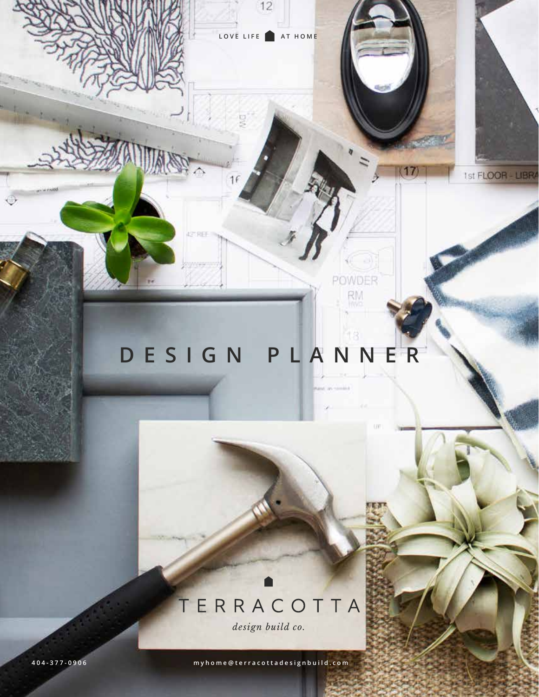

LOVE LIFE **AT HOME** 

 $16$ 

42 REE

 $\frac{1}{2}$ 

aV,

POWDER

RM<br>mvd

17

1st FLOOR - LIBRA

 $12$ 

# TERRACOTTA

*design build co.*

**4 0 4 - 3 7 7 - 0 9 0 6 myhome@terracottadesignbuild.com**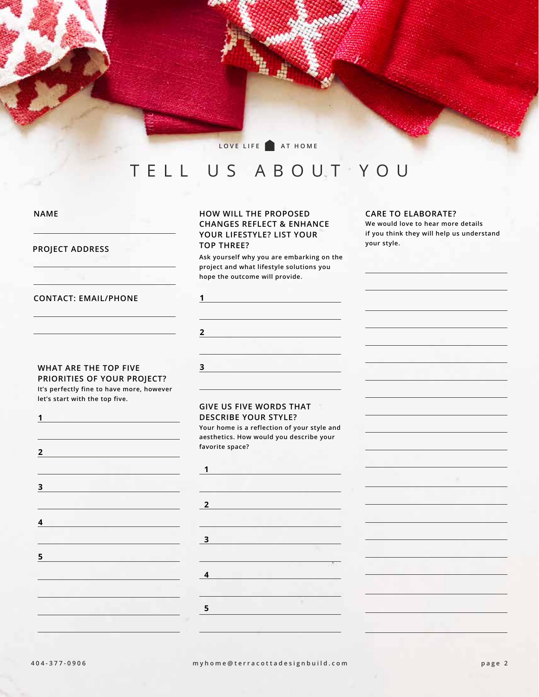LOVE LIFE **AT HOME** 

## TELL US ABOUT YOU

**NAME**

**PROJECT ADDRESS**

**1**

**2**

**3**

**5**

#### **HOW WILL THE PROPOSED CHANGES REFLECT & ENHANCE YOUR LIFESTYLE? LIST YOUR TOP THREE?**

**1**

**2**

**3**

**Ask yourself why you are embarking on the project and what lifestyle solutions you hope the outcome will provide.**

#### **CARE TO ELABORATE?**

**We would love to hear more details if you think they will help us understand your style.**

#### **CONTACT: EMAIL/PHONE**

#### **WHAT ARE THE TOP FIVE PRIORITIES OF YOUR PROJECT?**

**It's perfectly fine to have more, however let's start with the top five.**

**4**

#### **GIVE US FIVE WORDS THAT DESCRIBE YOUR STYLE?**

**Your home is a reflection of your style and aesthetics. How would you describe your favorite space?**

| $\overline{2}$ |  |   |
|----------------|--|---|
|                |  |   |
| $\mathbf 3$    |  |   |
|                |  |   |
| $\overline{4}$ |  | ٠ |
|                |  |   |
| 5              |  |   |
|                |  |   |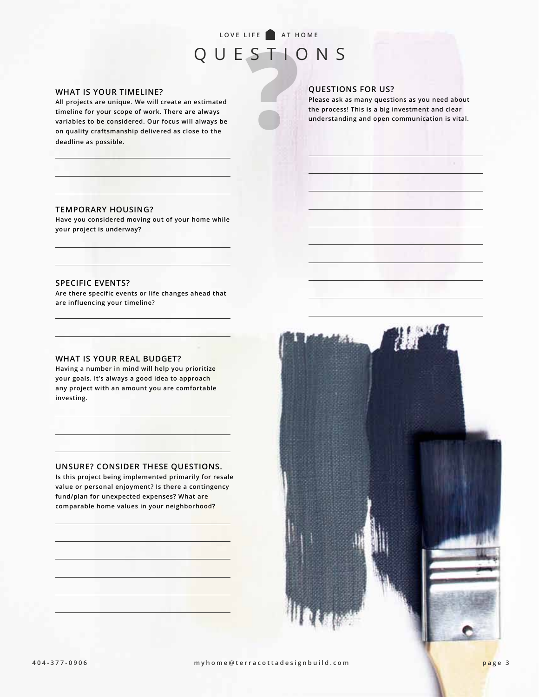### LOVE LIFE **AT HOME** QUESTIONS

**QUESTIONS FOR US?**

**Please ask as many questions as you need about the process! This is a big investment and clear understanding and open communication is vital.**

**Property COVE TIMELINE?**<br>All projects are unique. We will create an estimated<br>timeline for your scope of work. There are always<br>variables to be considered. Our focus will always be<br>on quality craftsmanship delivered as cl **All projects are unique. We will create an estimated timeline for your scope of work. There are always variables to be considered. Our focus will always be on quality craftsmanship delivered as close to the deadline as possible.**

#### **TEMPORARY HOUSING?**

**Have you considered moving out of your home while your project is underway?** 

#### **SPECIFIC EVENTS?**

**Are there specific events or life changes ahead that are influencing your timeline?**

#### **WHAT IS YOUR REAL BUDGET?**

**Having a number in mind will help you prioritize your goals. It's always a good idea to approach any project with an amount you are comfortable investing.**

#### **UNSURE? CONSIDER THESE QUESTIONS.**

**Is this project being implemented primarily for resale value or personal enjoyment? Is there a contingency fund/plan for unexpected expenses? What are comparable home values in your neighborhood?** 

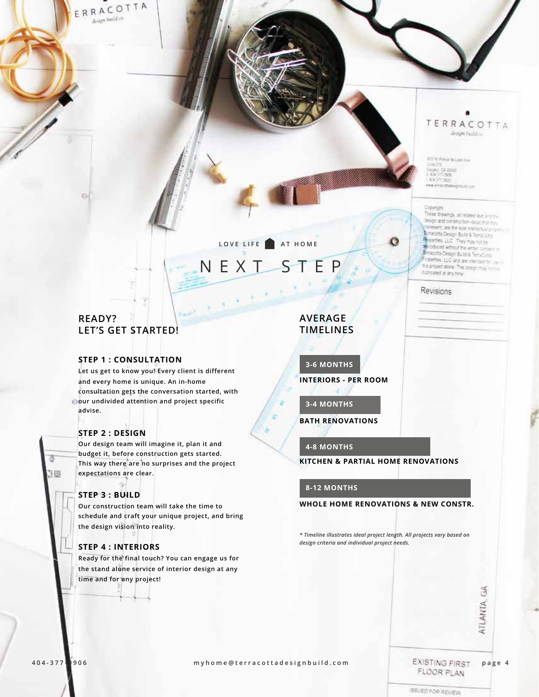ERRACOTTA design huild on

### TERRACOTTA design build co

ATO W Porce de Leon Ave 2012<br>1982: GA XXIII<br>KA 377 2006 434,577,000

#### **Covinces**

Ο

Tese drawings, all receivo lest any the tesign and construction visual that my cresent, are the scie interaction propmacotta Design Build & Templone sportes. LLC They may not be Toduced without the artist company racotta Design Build & TempComi opertes. LLC and are internet for the his project alone The designmay nurse cupicated at any fime.

#### Revisions

### **READY? LET'S GET STARTED!**

#### **STEP 1 : CONSULTATION**

**Let us get to know you! Every client is different and every home is unique. An in-home consultation gets the conversation started, with our undivided attention and project specific advise.**

#### **STEP 2 : DESIGN**

**Our design team will imagine it, plan it and budget it, before construction gets started. This way there are no surprises and the project expectations are clear.**

#### **STEP 3 : BUILD**

寧

**Our construction team will take the time to schedule and craft your unique project, and bring the design vision into reality.**

#### **STEP 4 : INTERIORS**

**Ready for the final touch? You can engage us for the stand alone service of interior design at any time and for any project!**

### **AVERAGE TIMELINES**

**NEXT STEP** 

LOVE LIFE AT HOME

**INTERIORS - PER ROOM 3-6 MONTHS**

**3-4 MONTHS**

**BATH RENOVATIONS**

#### **4-8 MONTHS**

**KITCHEN & PARTIAL HOME RENOVATIONS**

#### **8-12 MONTHS**

**WHOLE HOME RENOVATIONS & NEW CONSTR.**

*\* Timeline illustrates ideal project length. All projects vary based on design criteria and individual project needs.*

ð 35

**4 0 4 - 3 7 7 - 0 9 0 6 myhome@terracottadesignbuild.com page 4**

FLOOR PLAN

ATLANTA, GA